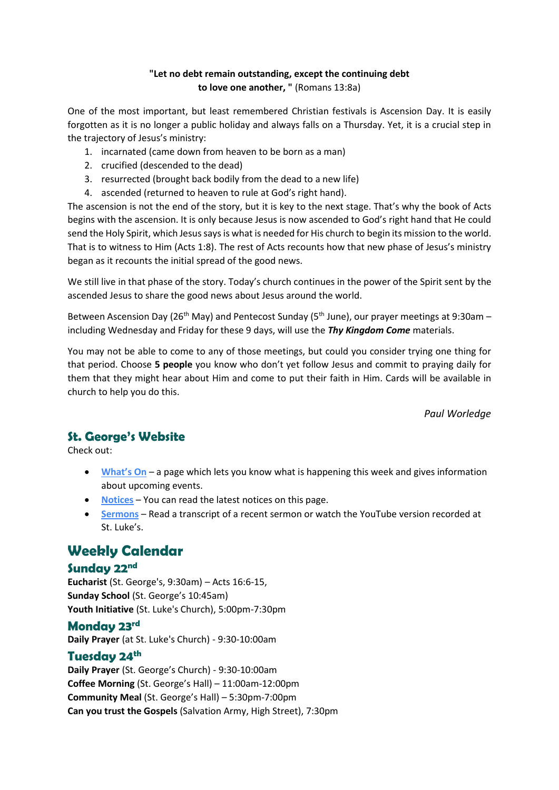#### **"Let no debt remain outstanding, except the continuing debt to love one another, "** (Romans 13:8a)

One of the most important, but least remembered Christian festivals is Ascension Day. It is easily forgotten as it is no longer a public holiday and always falls on a Thursday. Yet, it is a crucial step in the trajectory of Jesus's ministry:

- 1. incarnated (came down from heaven to be born as a man)
- 2. crucified (descended to the dead)
- 3. resurrected (brought back bodily from the dead to a new life)
- 4. ascended (returned to heaven to rule at God's right hand).

The ascension is not the end of the story, but it is key to the next stage. That's why the book of Acts begins with the ascension. It is only because Jesus is now ascended to God's right hand that He could send the Holy Spirit, which Jesus says is what is needed for His church to begin its mission to the world. That is to witness to Him (Acts 1:8). The rest of Acts recounts how that new phase of Jesus's ministry began as it recounts the initial spread of the good news.

We still live in that phase of the story. Today's church continues in the power of the Spirit sent by the ascended Jesus to share the good news about Jesus around the world.

Between Ascension Day (26<sup>th</sup> May) and Pentecost Sunday (5<sup>th</sup> June), our prayer meetings at 9:30am – including Wednesday and Friday for these 9 days, will use the *Thy Kingdom Come* materials.

You may not be able to come to any of those meetings, but could you consider trying one thing for that period. Choose **5 people** you know who don't yet follow Jesus and commit to praying daily for them that they might hear about Him and come to put their faith in Him. Cards will be available in church to help you do this.

*Paul Worledge*

## **St. George's Website**

Check out:

- **[What's On](https://stgeorgechurchramsgate.uk/home-2/whats-on/)** a page which lets you know what is happening this week and gives information about upcoming events.
- **[Notices](https://stgeorgechurchramsgate.uk/notices/)** You can read the latest notices on this page.
- **[Sermons](https://stgeorgechurchramsgate.uk/sermons/)** Read a transcript of a recent sermon or watch the YouTube version recorded at St. Luke's.

## **Weekly Calendar**

### **Sunday 22nd**

**Eucharist** (St. George's, 9:30am) – Acts 16:6-15, **Sunday School** (St. George's 10:45am) **Youth Initiative** (St. Luke's Church), 5:00pm-7:30pm

### **Monday 23rd**

**Daily Prayer** (at St. Luke's Church) - 9:30-10:00am

### **Tuesday 24th**

**Daily Prayer** (St. George's Church) - 9:30-10:00am **Coffee Morning** (St. George's Hall) – 11:00am-12:00pm **Community Meal** (St. George's Hall) – 5:30pm-7:00pm **Can you trust the Gospels** (Salvation Army, High Street), 7:30pm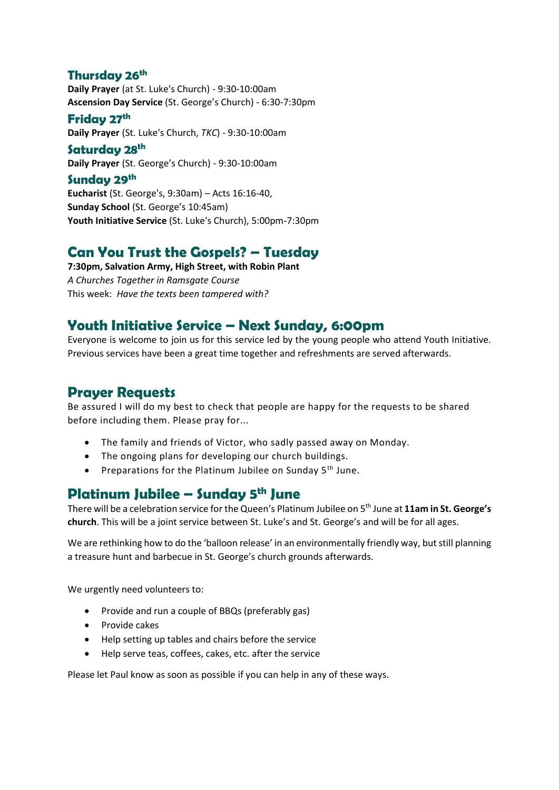#### **Thursday 26th**

**Daily Prayer** (at St. Luke's Church) - 9:30-10:00am **Ascension Day Service** (St. George's Church) - 6:30-7:30pm

#### **Friday 27th**

**Daily Prayer** (St. Luke's Church, *TKC*) - 9:30-10:00am

**Saturday 28th Daily Prayer** (St. George's Church) - 9:30-10:00am

### **Sunday 29th**

**Eucharist** (St. George's, 9:30am) – Acts 16:16-40, **Sunday School** (St. George's 10:45am) **Youth Initiative Service** (St. Luke's Church), 5:00pm-7:30pm

# **Can You Trust the Gospels? – Tuesday**

**7:30pm, Salvation Army, High Street, with Robin Plant** *A Churches Together in Ramsgate Course* This week: *Have the texts been tampered with?*

## **Youth Initiative Service – Next Sunday, 6:00pm**

Everyone is welcome to join us for this service led by the young people who attend Youth Initiative. Previous services have been a great time together and refreshments are served afterwards.

## **Prayer Requests**

Be assured I will do my best to check that people are happy for the requests to be shared before including them. Please pray for...

- The family and friends of Victor, who sadly passed away on Monday.
- The ongoing plans for developing our church buildings.
- Preparations for the Platinum Jubilee on Sunday  $5<sup>th</sup>$  June.

## **Platinum Jubilee – Sunday 5th June**

There will be a celebration service for the Queen's Platinum Jubilee on 5th June at **11am in St. George's church**. This will be a joint service between St. Luke's and St. George's and will be for all ages.

We are rethinking how to do the 'balloon release' in an environmentally friendly way, but still planning a treasure hunt and barbecue in St. George's church grounds afterwards.

We urgently need volunteers to:

- Provide and run a couple of BBQs (preferably gas)
- Provide cakes
- Help setting up tables and chairs before the service
- Help serve teas, coffees, cakes, etc. after the service

Please let Paul know as soon as possible if you can help in any of these ways.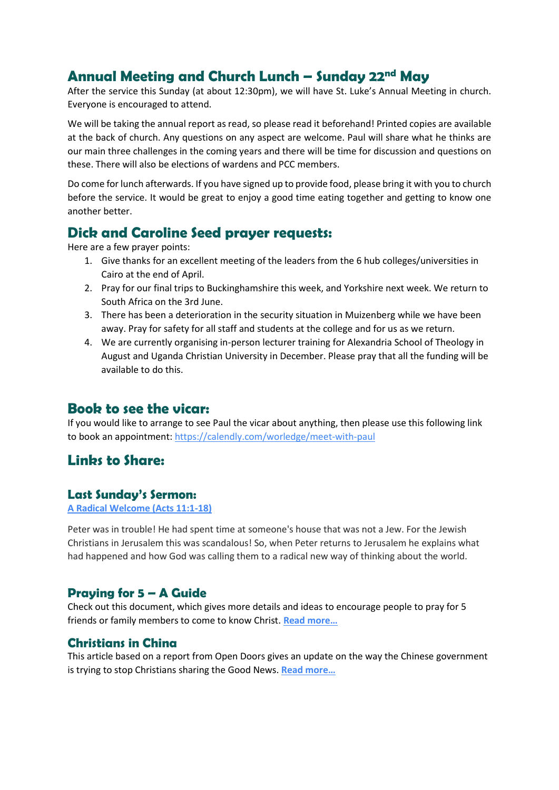# **Annual Meeting and Church Lunch – Sunday 22nd May**

After the service this Sunday (at about 12:30pm), we will have St. Luke's Annual Meeting in church. Everyone is encouraged to attend.

We will be taking the annual report as read, so please read it beforehand! Printed copies are available at the back of church. Any questions on any aspect are welcome. Paul will share what he thinks are our main three challenges in the coming years and there will be time for discussion and questions on these. There will also be elections of wardens and PCC members.

Do come for lunch afterwards. If you have signed up to provide food, please bring it with you to church before the service. It would be great to enjoy a good time eating together and getting to know one another better.

## **Dick and Caroline Seed prayer requests:**

Here are a few prayer points:

- 1. Give thanks for an excellent meeting of the leaders from the 6 hub colleges/universities in Cairo at the end of April.
- 2. Pray for our final trips to Buckinghamshire this week, and Yorkshire next week. We return to South Africa on the 3rd June.
- 3. There has been a deterioration in the security situation in Muizenberg while we have been away. Pray for safety for all staff and students at the college and for us as we return.
- 4. We are currently organising in-person lecturer training for Alexandria School of Theology in August and Uganda Christian University in December. Please pray that all the funding will be available to do this.

## **Book to see the vicar:**

If you would like to arrange to see Paul the vicar about anything, then please use this following link to book an appointment:<https://calendly.com/worledge/meet-with-paul>

## Linbs to Share:

#### **Last Sunday's Sermon:**

**[A Radical Welcome \(Acts 11:1-18\)](https://www.stlukesramsgate.org/sermons/a-radical-welcome-acts-11-18)**

Peter was in trouble! He had spent time at someone's house that was not a Jew. For the Jewish Christians in Jerusalem this was scandalous! So, when Peter returns to Jerusalem he explains what had happened and how God was calling them to a radical new way of thinking about the world.

## **Praying for 5 – A Guide**

Check out this document, which gives more details and ideas to encourage people to pray for 5 friends or family members to come to know Christ. **Read [more…](https://www.cpas.org.uk/sites/default/files/content/Practice%202%20-%20Pray%20for%20Five.pdf)**

### **Christians in China**

This article based on a report from Open Doors gives an update on the way the Chinese government is trying to stop Christians sharing the Good News. **[Read more…](https://premierchristian.news/en/news/article/china-s-internet-clampdown-is-step-closer-to-cancelling-christianity-says-charity-open-doors?utm_source=Premier%20Christian%20Media&utm_medium=email&utm_campaign=13203818_daily%20news%2019%20May%202022&dm_i=16DQ,7V04Q,4M3DWZ,W4JOS,1)**